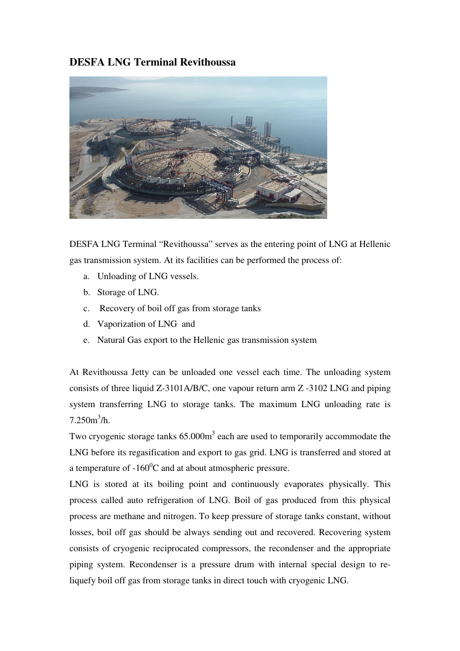## **DESFA LNG Terminal Revithoussa**



DESFA LNG Terminal "Revithoussa" serves as the entering point of LNG at Hellenic gas transmission system. At its facilities can be performed the process of:

- a. Unloading of LNG vessels.
- b. Storage of LNG.
- c. Recovery of boil off gas from storage tanks
- d. Vaporization of LNG and
- e. Natural Gas export to the Hellenic gas transmission system

At Revithoussa Jetty can be unloaded one vessel each time. The unloading system consists of three liquid Z-3101A/B/C, one vapour return arm Z -3102 LNG and piping system transferring LNG to storage tanks. The maximum LNG unloading rate is  $7.250m^3/h.$ 

Two cryogenic storage tanks  $65.000m<sup>3</sup>$  each are used to temporarily accommodate the LNG before its regasification and export to gas grid. LNG is transferred and stored at a temperature of  $-160^{\circ}$ C and at about atmospheric pressure.

LNG is stored at its boiling point and continuously evaporates physically. This process called auto refrigeration of LNG. Boil of gas produced from this physical process are methane and nitrogen. To keep pressure of storage tanks constant, without losses, boil off gas should be always sending out and recovered. Recovering system consists of cryogenic reciprocated compressors, the recondenser and the appropriate piping system. Recondenser is a pressure drum with internal special design to reliquefy boil off gas from storage tanks in direct touch with cryogenic LNG.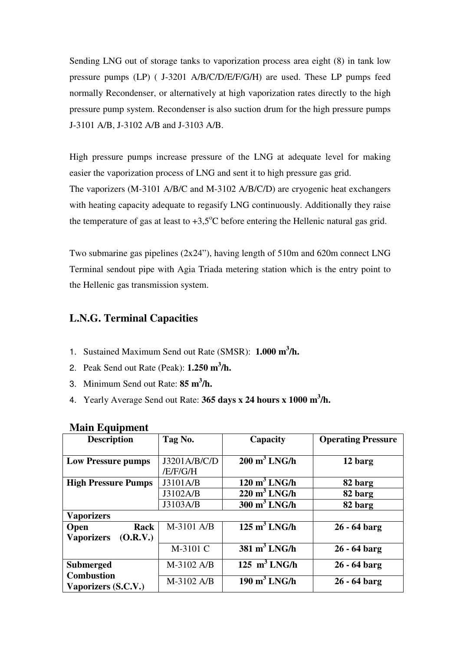Sending LNG out of storage tanks to vaporization process area eight (8) in tank low pressure pumps (LP) ( J-3201 A/B/C/D/E/F/G/H) are used. These LP pumps feed normally Recondenser, or alternatively at high vaporization rates directly to the high pressure pump system. Recondenser is also suction drum for the high pressure pumps J-3101 A/B, J-3102 A/B and J-3103 A/B.

High pressure pumps increase pressure of the LNG at adequate level for making easier the vaporization process of LNG and sent it to high pressure gas grid. The vaporizers (M-3101 A/B/C and M-3102 A/B/C/D) are cryogenic heat exchangers with heating capacity adequate to regasify LNG continuously. Additionally they raise the temperature of gas at least to  $+3.5^{\circ}$ C before entering the Hellenic natural gas grid.

Two submarine gas pipelines (2x24"), having length of 510m and 620m connect LNG Terminal sendout pipe with Agia Triada metering station which is the entry point to the Hellenic gas transmission system.

## **L.N.G. Terminal Capacities**

- 1. Sustained Maximum Send out Rate (SMSR): **1.000 m<sup>3</sup> /h.**
- 2. Peak Send out Rate (Peak): **1.250 m 3 /h.**
- 3. Minimum Send out Rate: **85 m<sup>3</sup> /h.**
- 4. Yearly Average Send out Rate: **365 days x 24 hours x 1000 m<sup>3</sup> /h.**

| <b>Description</b>                       | Tag No.      | Capacity                              | <b>Operating Pressure</b> |
|------------------------------------------|--------------|---------------------------------------|---------------------------|
|                                          |              |                                       |                           |
| <b>Low Pressure pumps</b>                | J3201A/B/C/D | $200 \text{ m}^3$ LNG/h               | 12 barg                   |
|                                          | /E/F/G/H     |                                       |                           |
| <b>High Pressure Pumps</b>               | J3101A/B     | $120 \text{ m}^3$ LNG/h               | 82 barg                   |
|                                          | J3102A/B     | $220 \text{ m}^3$ LNG/h               | 82 barg                   |
|                                          | J3103A/B     | $300 \text{ m}^3$ LNG/h               | 82 barg                   |
| <b>Vaporizers</b>                        |              |                                       |                           |
| Rack<br><b>Open</b>                      | M-3101 A/B   | $125 \text{ m}^3$ LNG/h               | $26 - 64$ barg            |
| (O.R.V.)<br><b>Vaporizers</b>            |              |                                       |                           |
|                                          | M-3101 C     | $\overline{381}$ m <sup>3</sup> LNG/h | $26 - 64$ barg            |
| <b>Submerged</b>                         | M-3102 A/B   | $125 \text{ m}^3$ LNG/h               | $26 - 64$ barg            |
| <b>Combustion</b><br>Vaporizers (S.C.V.) | M-3102 A/B   | $\overline{190}$ m <sup>3</sup> LNG/h | $26 - 64$ barg            |

## **Main Equipment**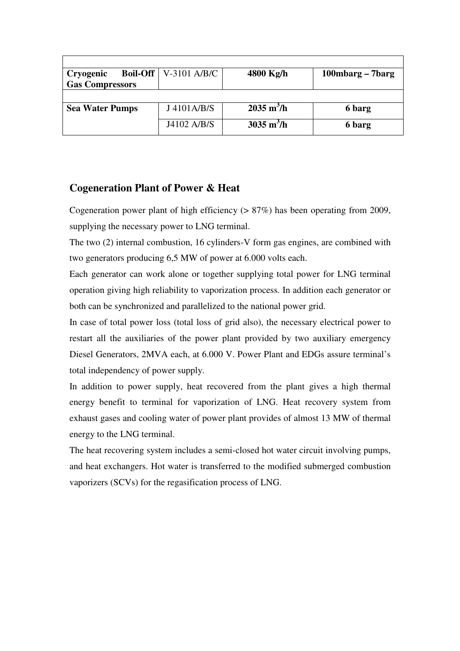| Cryogenic              | <b>Boil-Off</b> $\vert$ V-3101 A/B/C | 4800 Kg/h                   | 100mbarg – 7barg |
|------------------------|--------------------------------------|-----------------------------|------------------|
| <b>Gas Compressors</b> |                                      |                             |                  |
|                        |                                      |                             |                  |
| <b>Sea Water Pumps</b> | J4101A/B/S                           | $2035 \text{ m}^3/\text{h}$ | 6 barg           |
|                        | J4102 A/B/S                          | $3035 \text{ m}^3/\text{h}$ | 6 barg           |

## **Cogeneration Plant of Power & Heat**

Cogeneration power plant of high efficiency (> 87%) has been operating from 2009, supplying the necessary power to LNG terminal.

The two (2) internal combustion, 16 cylinders-V form gas engines, are combined with two generators producing 6,5 MW of power at 6.000 volts each.

Each generator can work alone or together supplying total power for LNG terminal operation giving high reliability to vaporization process. In addition each generator or both can be synchronized and parallelized to the national power grid.

In case of total power loss (total loss of grid also), the necessary electrical power to restart all the auxiliaries of the power plant provided by two auxiliary emergency Diesel Generators, 2MVA each, at 6.000 V. Power Plant and EDGs assure terminal's total independency of power supply.

In addition to power supply, heat recovered from the plant gives a high thermal energy benefit to terminal for vaporization of LNG. Heat recovery system from exhaust gases and cooling water of power plant provides of almost 13 MW of thermal energy to the LNG terminal.

The heat recovering system includes a semi-closed hot water circuit involving pumps, and heat exchangers. Hot water is transferred to the modified submerged combustion vaporizers (SCVs) for the regasification process of LNG.